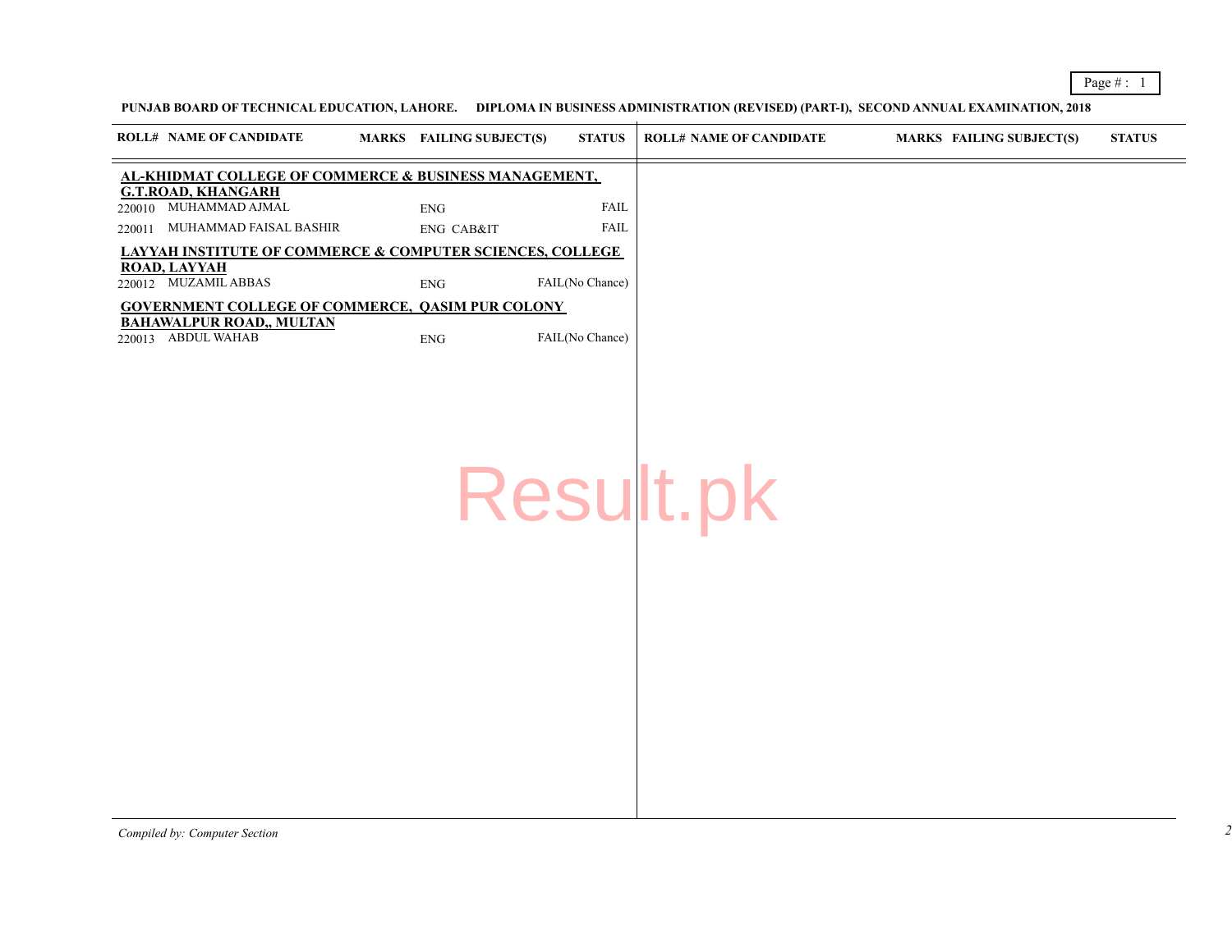## PUNJAB BOARD OF TECHNICAL EDUCATION, LAHORE. DIPLOMA IN BUSINESS ADMINISTRATION (REVISED) (PART-I), SECOND ANNU

| <b>ROLL# NAME OF CANDIDATE</b>                                       | MARKS FAILING SUBJECT(S) | <b>STATUS</b>   | <b>ROLL# NAME OF CANDIDATE</b> | <b>MARKS</b> |
|----------------------------------------------------------------------|--------------------------|-----------------|--------------------------------|--------------|
| AL-KHIDMAT COLLEGE OF COMMERCE & BUSINESS MANAGEMENT,                |                          |                 |                                |              |
| <b>G.T.ROAD, KHANGARH</b><br>220010 MUHAMMAD AJMAL                   | <b>ENG</b>               | <b>FAIL</b>     |                                |              |
| 220011 MUHAMMAD FAISAL BASHIR                                        | ENG CAB&IT               | <b>FAIL</b>     |                                |              |
| <b>LAYYAH INSTITUTE OF COMMERCE &amp; COMPUTER SCIENCES, COLLEGE</b> |                          |                 |                                |              |
| <b>ROAD, LAYYAH</b><br>220012 MUZAMIL ABBAS                          | ${\rm ENG}$              | FAIL(No Chance) |                                |              |
| <b>GOVERNMENT COLLEGE OF COMMERCE, QASIM PUR COLONY</b>              |                          |                 |                                |              |
| <b>BAHAWALPUR ROAD,, MULTAN</b><br>220013 ABDUL WAHAB                | ${\rm ENG}$              | FAIL(No Chance) |                                |              |
|                                                                      |                          |                 |                                |              |
|                                                                      |                          |                 |                                |              |
|                                                                      |                          |                 |                                |              |
|                                                                      |                          |                 |                                |              |
|                                                                      |                          |                 |                                |              |
|                                                                      |                          |                 |                                |              |
|                                                                      |                          |                 | Result.pk                      |              |
|                                                                      |                          |                 |                                |              |
|                                                                      |                          |                 |                                |              |
|                                                                      |                          |                 |                                |              |
|                                                                      |                          |                 |                                |              |
|                                                                      |                          |                 |                                |              |
|                                                                      |                          |                 |                                |              |
|                                                                      |                          |                 |                                |              |
|                                                                      |                          |                 |                                |              |
|                                                                      |                          |                 |                                |              |
|                                                                      |                          |                 |                                |              |
|                                                                      |                          |                 |                                |              |
|                                                                      |                          |                 |                                |              |
|                                                                      |                          |                 |                                |              |

*Compiled by: Computer Section*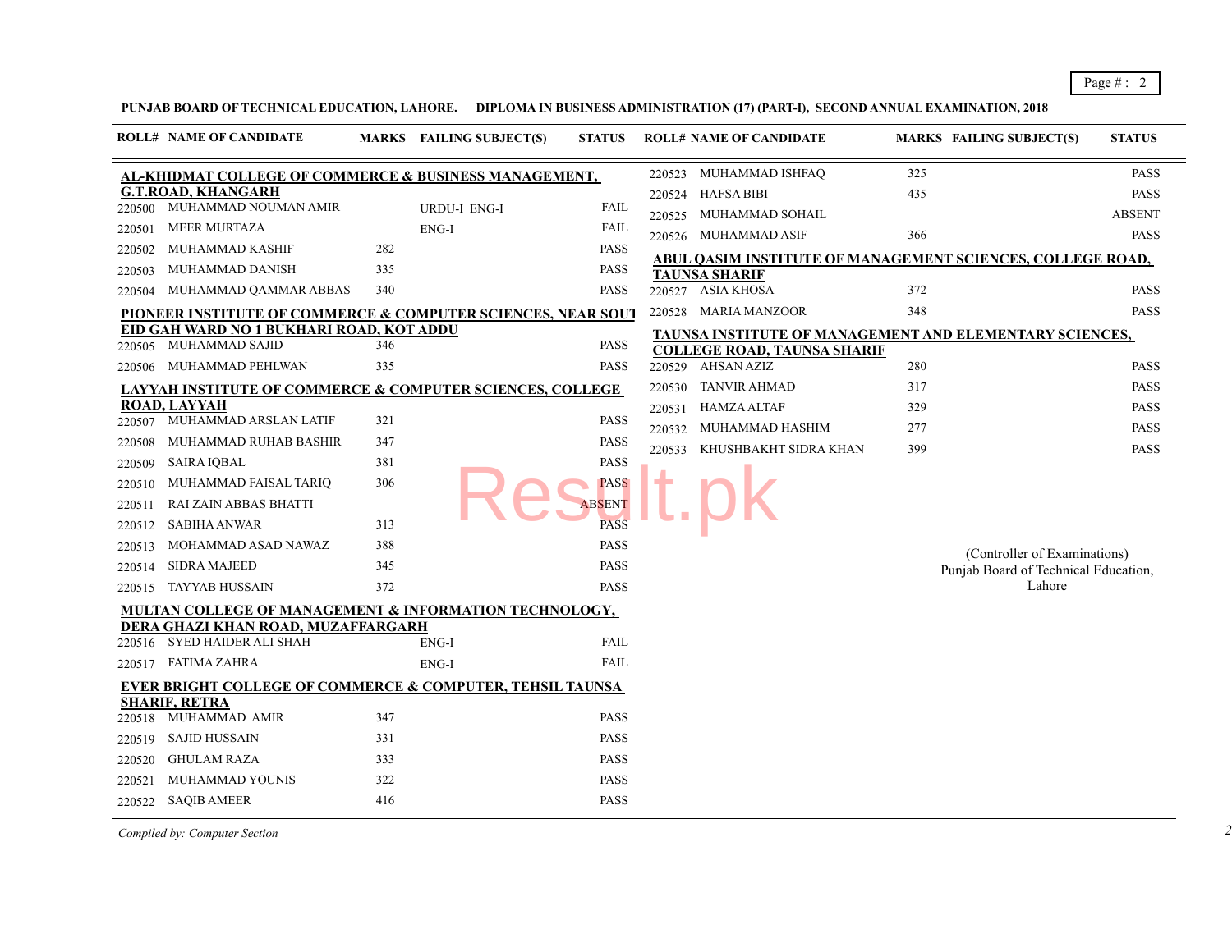## PUNJAB BOARD OF TECHNICAL EDUCATION, LAHORE. DIPLOMA IN BUSINESS ADMINISTRATION (17) (PART-I), SECOND ANNUAL EXA

|                                                                                                                                          | <b>ROLL# NAME OF CANDIDATE</b>                                                                                                                                                                                                                                                                                                                                                                                                                                                                                                                                                                                                  |                                                                                  | MARKS FAILING SUBJECT(S)     | <b>STATUS</b>                                                                                                                                                                                      |                                      | <b>ROLL# NAME OF CANDIDATE</b>                                                                                                                                                                                                                                                             | <b>MARKS</b>                                                    |
|------------------------------------------------------------------------------------------------------------------------------------------|---------------------------------------------------------------------------------------------------------------------------------------------------------------------------------------------------------------------------------------------------------------------------------------------------------------------------------------------------------------------------------------------------------------------------------------------------------------------------------------------------------------------------------------------------------------------------------------------------------------------------------|----------------------------------------------------------------------------------|------------------------------|----------------------------------------------------------------------------------------------------------------------------------------------------------------------------------------------------|--------------------------------------|--------------------------------------------------------------------------------------------------------------------------------------------------------------------------------------------------------------------------------------------------------------------------------------------|-----------------------------------------------------------------|
| 220500<br>220501<br>220502                                                                                                               | <b>AL-KHIDMAT COLLEGE OF COMMERCE &amp; BUSINESS MANAGEMENT,</b><br><b>G.T.ROAD, KHANGARH</b><br>MUHAMMAD NOUMAN AMIR<br><b>MEER MURTAZA</b><br>MUHAMMAD KASHIF                                                                                                                                                                                                                                                                                                                                                                                                                                                                 | 282                                                                              | <b>URDU-I ENG-I</b><br>ENG-I | <b>FAIL</b><br>FAIL<br>PASS                                                                                                                                                                        | 220523<br>220524<br>220525           | MUHAMMAD ISHFAQ<br>HAFSA BIBI<br>MUHAMMAD SOHAIL<br>220526 MUHAMMAD ASIF                                                                                                                                                                                                                   | 325<br>435<br>366                                               |
| 220503<br>220504<br>220505<br>220506<br>220507<br>220508<br>220509<br>220510<br>220511<br>220512<br>220513<br>220514<br>220515<br>220516 | MUHAMMAD DANISH<br>MUHAMMAD QAMMAR ABBAS<br><b>PIONEER INSTITUTE OF COMMERCE &amp; COMPUTER SCIENCES, NEAR SOUT</b><br>EID GAH WARD NO 1 BUKHARI ROAD. KOT ADDU<br>MUHAMMAD SAJID<br>MUHAMMAD PEHLWAN<br><b>LAYYAH INSTITUTE OF COMMERCE &amp; COMPUTER SCIENCES, COLLEGE</b><br>ROAD. LAYYAH<br>MUHAMMAD ARSLAN LATIF<br>MUHAMMAD RUHAB BASHIR<br><b>SAIRA IQBAL</b><br>MUHAMMAD FAISAL TARIQ<br>RAI ZAIN ABBAS BHATTI<br>SABIHA ANWAR<br>MOHAMMAD ASAD NAWAZ<br><b>SIDRA MAJEED</b><br>TAYYAB HUSSAIN<br>MULTAN COLLEGE OF MANAGEMENT & INFORMATION TECHNOLOGY,<br>DERA GHAZI KHAN ROAD, MUZAFFARGARH<br>SYED HAIDER ALI SHAH | 335<br>340<br>346<br>335<br>321<br>347<br>381<br>306<br>313<br>388<br>345<br>372 | ENG-I                        | <b>PASS</b><br><b>PASS</b><br><b>PASS</b><br><b>PASS</b><br><b>PASS</b><br><b>PASS</b><br>PASS<br><b>PASS</b><br><b>ABSENT</b><br><b>PASS</b><br><b>PASS</b><br><b>PASS</b><br>PASS<br><b>FAIL</b> | 220530<br>220531<br>220532<br>220533 | <b>ABUL OASIM INSTITUTE OF MANAGEMENT</b><br><b>TAUNSA SHARIF</b><br>220527 ASIA KHOSA<br>220528 MARIA MANZOOR<br>TAUNSA INSTITUTE OF MANAGEMENT AND<br><b>COLLEGE ROAD, TAUNSA SHARIF</b><br>220529 AHSAN AZIZ<br>TANVIR AHMAD<br>HAMZA ALTAF<br>MUHAMMAD HASHIM<br>KHUSHBAKHT SIDRA KHAN | 372<br>348<br>280<br>317<br>329<br>277<br>399<br>P <sub>l</sub> |
| 220519<br>220520<br>220521<br>220522                                                                                                     | 220517 FATIMA ZAHRA<br>EVER BRIGHT COLLEGE OF COMMERCE & COMPUTER, TEHSIL TAUNSA<br><b>SHARIF, RETRA</b><br>220518 MUHAMMAD AMIR<br><b>SAJID HUSSAIN</b><br><b>GHULAM RAZA</b><br><b>MUHAMMAD YOUNIS</b><br>SAQIB AMEER                                                                                                                                                                                                                                                                                                                                                                                                         | 347<br>331<br>333<br>322<br>416                                                  | ENG-I                        | FAIL<br>PASS<br>PASS<br>PASS<br>PASS<br>PASS                                                                                                                                                       |                                      |                                                                                                                                                                                                                                                                                            |                                                                 |

*Compiled by: Computer Section*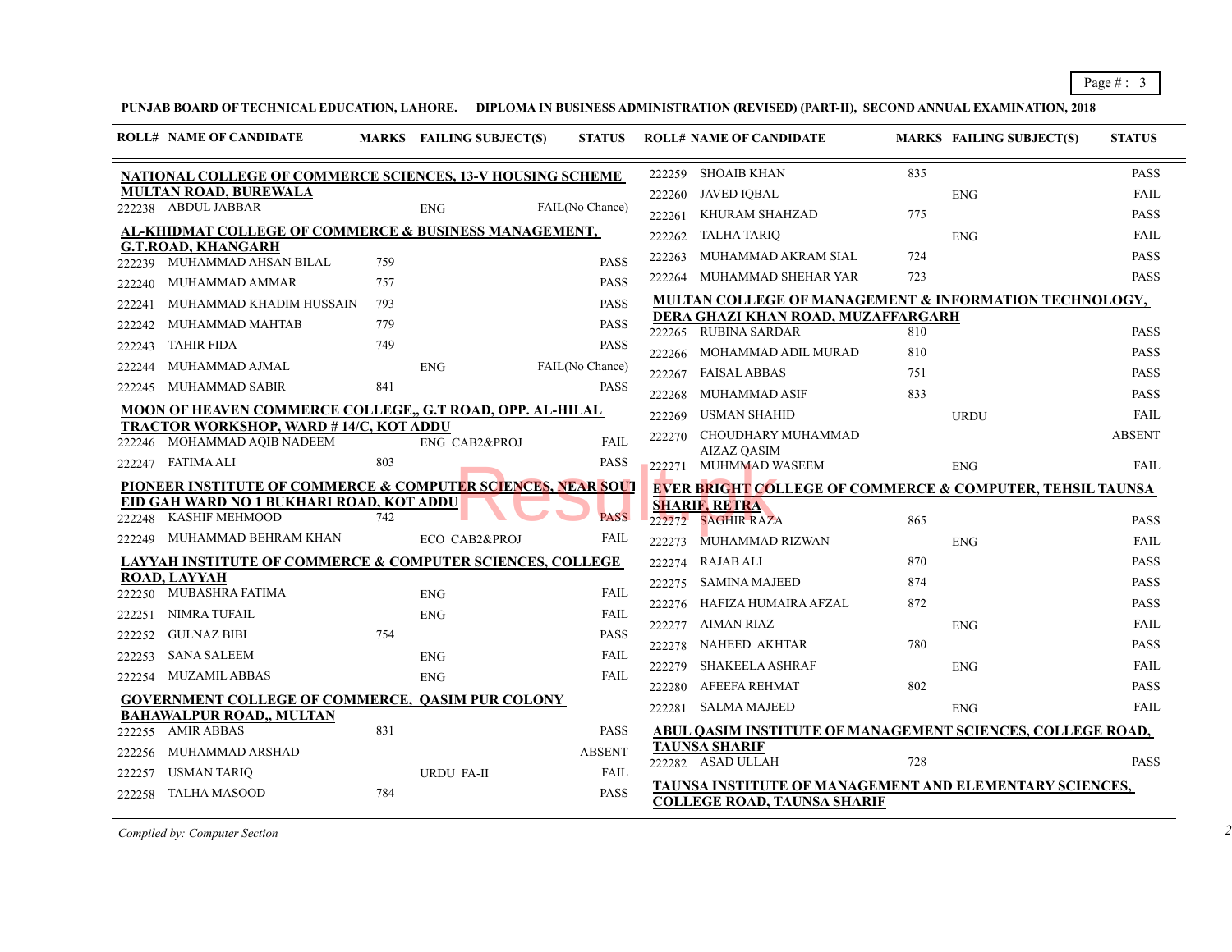## PUNJAB BOARD OF TECHNICAL EDUCATION, LAHORE. DIPLOMA IN BUSINESS ADMINISTRATION (REVISED) (PART-II), SECOND ANNU

|        | <b>ROLL# NAME OF CANDIDATE</b>                                              |     | <b>MARKS</b> FAILING SUBJECT(S) | <b>STATUS</b>   |        | <b>ROLL# NAME OF CANDIDATE</b>                                           | <b>MARKS</b> |
|--------|-----------------------------------------------------------------------------|-----|---------------------------------|-----------------|--------|--------------------------------------------------------------------------|--------------|
|        | NATIONAL COLLEGE OF COMMERCE SCIENCES, 13-V HOUSING SCHEME                  |     |                                 |                 | 222259 | SHOAIB KHAN                                                              | 835          |
|        | <b>MULTAN ROAD, BUREWALA</b><br>222238 ABDUL JABBAR                         |     |                                 | FAIL(No Chance) | 222260 | JAVED IQBAL                                                              |              |
|        |                                                                             |     | <b>ENG</b>                      |                 | 222261 | KHURAM SHAHZAD                                                           | 775          |
|        | AL-KHIDMAT COLLEGE OF COMMERCE & BUSINESS MANAGEMENT,<br>G.T.ROAD. KHANGARH |     |                                 |                 | 222262 | <b>TALHA TARIQ</b>                                                       |              |
|        | 222239 MUHAMMAD AHSAN BILAL                                                 | 759 |                                 | <b>PASS</b>     | 222263 | MUHAMMAD AKRAM SIAL                                                      | 724          |
| 222240 | MUHAMMAD AMMAR                                                              | 757 |                                 | <b>PASS</b>     | 222264 | MUHAMMAD SHEHAR YAR                                                      | 723          |
| 222241 | MUHAMMAD KHADIM HUSSAIN                                                     | 793 |                                 | <b>PASS</b>     |        | <b>MULTAN COLLEGE OF MANAGEMENT &amp; IN</b>                             |              |
| 222242 | MUHAMMAD MAHTAB                                                             | 779 |                                 | <b>PASS</b>     |        | DERA GHAZI KHAN ROAD, MUZAFFARGARI<br>222265 RUBINA SARDAR               | 810          |
| 222243 | <b>TAHIR FIDA</b>                                                           | 749 |                                 | <b>PASS</b>     | 222266 | MOHAMMAD ADIL MURAD                                                      | 810          |
| 222244 | MUHAMMAD AJMAL                                                              |     | <b>ENG</b>                      | FAIL(No Chance) | 222267 | <b>FAISAL ABBAS</b>                                                      | 751          |
| 222245 | MUHAMMAD SABIR                                                              | 841 |                                 | <b>PASS</b>     | 222268 | MUHAMMAD ASIF                                                            | 833          |
|        | <b>MOON OF HEAVEN COMMERCE COLLEGE,, G.T ROAD, OPP. AL-HILAL</b>            |     |                                 |                 | 222269 | USMAN SHAHID                                                             |              |
|        | TRACTOR WORKSHOP, WARD # 14/C, KOT ADDU                                     |     |                                 |                 | 222270 | CHOUDHARY MUHAMMAD                                                       |              |
|        | 222246 MOHAMMAD AQIB NADEEM                                                 |     | ENG CAB2&PROJ                   | <b>FAIL</b>     |        | <b>AIZAZ OASIM</b>                                                       |              |
|        | 222247 FATIMA ALI                                                           | 803 |                                 | <b>PASS</b>     | 222271 | MUHMMAD WASEEM                                                           |              |
|        | PIONEER INSTITUTE OF COMMERCE & COMPUTER SCIENCES, NEAR SOUT                |     |                                 |                 |        | <b>EVER BRIGHT COLLEGE OF COMMERCE &amp;</b>                             |              |
|        | EID GAH WARD NO 1 BUKHARI ROAD, KOT ADDU<br>222248 KASHIF MEHMOOD           | 742 |                                 | <b>PASS</b>     | 222272 | <b>SHARIF, RETRA</b><br><b>SAGHIR RAZA</b>                               | 865          |
| 222249 | MUHAMMAD BEHRAM KHAN                                                        |     | ECO CAB2&PROJ                   | FAIL            | 222273 | <b>MUHAMMAD RIZWAN</b>                                                   |              |
|        | <u>LAYYAH INSTITUTE OF COMMERCE &amp; COMPUTER SCIENCES, COLLEGE</u>        |     |                                 |                 | 222274 | RAJAB ALI                                                                | 870          |
|        | ROAD, LAYYAH                                                                |     |                                 |                 | 222275 | SAMINA MAJEED                                                            | 874          |
|        | 222250 MUBASHRA FATIMA                                                      |     | <b>ENG</b>                      | <b>FAIL</b>     | 222276 | HAFIZA HUMAIRA AFZAL                                                     | 872          |
| 222251 | NIMRA TUFAIL                                                                |     | <b>ENG</b>                      | <b>FAIL</b>     | 222277 | AIMAN RIAZ                                                               |              |
| 222252 | <b>GULNAZ BIBI</b>                                                          | 754 |                                 | <b>PASS</b>     | 222278 | <b>NAHEED AKHTAR</b>                                                     | 780          |
| 222253 | <b>SANA SALEEM</b>                                                          |     | <b>ENG</b>                      | FAIL            | 222279 | SHAKEELA ASHRAF                                                          |              |
| 222254 | MUZAMIL ABBAS                                                               |     | <b>ENG</b>                      | FAIL            | 222280 | AFEEFA REHMAT                                                            | 802          |
|        | <b>GOVERNMENT COLLEGE OF COMMERCE, QASIM PUR COLONY</b>                     |     |                                 |                 | 222281 | SALMA MAJEED                                                             |              |
| 222255 | BAHAWALPUR ROAD,, MULTAN<br><b>AMIR ABBAS</b>                               | 831 |                                 | <b>PASS</b>     |        | <b>ABUL QASIM INSTITUTE OF MANAGEMENT</b>                                |              |
| 222256 | MUHAMMAD ARSHAD                                                             |     |                                 | <b>ABSENT</b>   |        | TAUNSA SHARIF                                                            |              |
| 222257 | <b>USMAN TARIQ</b>                                                          |     | <b>URDU FA-II</b>               | <b>FAIL</b>     |        | 222282 ASAD ULLAH                                                        | 728          |
| 222258 | <b>TALHA MASOOD</b>                                                         | 784 |                                 | <b>PASS</b>     |        | TAUNSA INSTITUTE OF MANAGEMENT AND<br><b>COLLEGE ROAD, TAUNSA SHARIF</b> |              |
|        |                                                                             |     |                                 |                 |        |                                                                          |              |

*Compiled by: Computer Section*